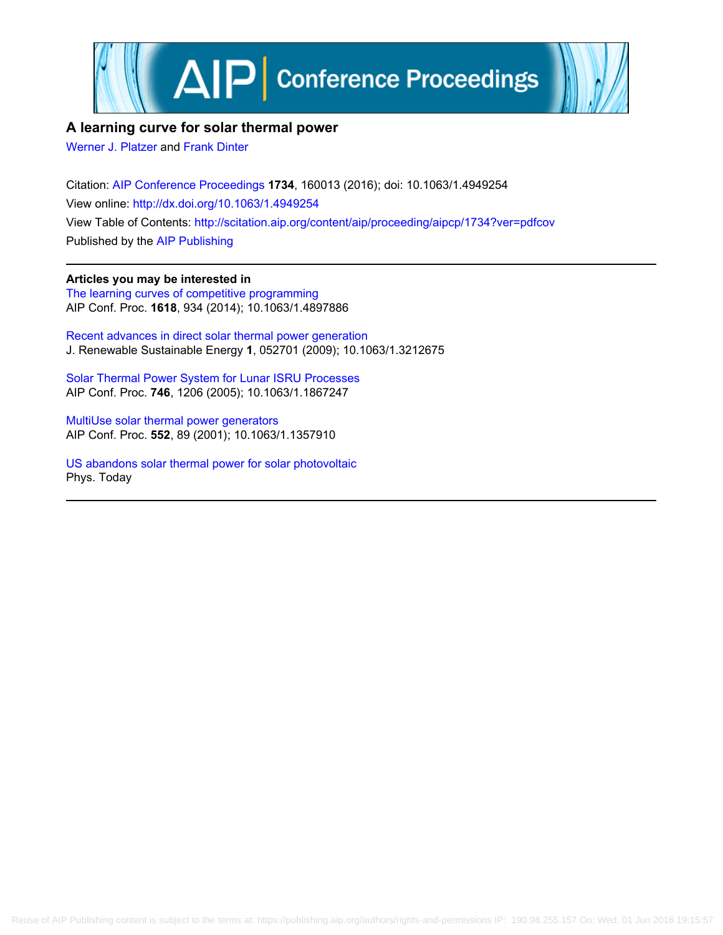

## **A learning curve for solar thermal power**

[Werner J. Platzer](http://scitation.aip.org/search?value1=Werner+J.+Platzer&option1=author) and [Frank Dinter](http://scitation.aip.org/search?value1=Frank+Dinter&option1=author)

Citation: [AIP Conference Proceedings](http://scitation.aip.org/content/aip/proceeding/aipcp?ver=pdfcov) **1734**, 160013 (2016); doi: 10.1063/1.4949254 View online: <http://dx.doi.org/10.1063/1.4949254> View Table of Contents: <http://scitation.aip.org/content/aip/proceeding/aipcp/1734?ver=pdfcov> Published by the [AIP Publishing](http://scitation.aip.org/content/aip?ver=pdfcov)

**Articles you may be interested in** [The learning curves of competitive programming](http://scitation.aip.org/content/aip/proceeding/aipcp/10.1063/1.4897886?ver=pdfcov) AIP Conf. Proc. **1618**, 934 (2014); 10.1063/1.4897886

[Recent advances in direct solar thermal power generation](http://scitation.aip.org/content/aip/journal/jrse/1/5/10.1063/1.3212675?ver=pdfcov) J. Renewable Sustainable Energy **1**, 052701 (2009); 10.1063/1.3212675

[Solar Thermal Power System for Lunar ISRU Processes](http://scitation.aip.org/content/aip/proceeding/aipcp/10.1063/1.1867247?ver=pdfcov) AIP Conf. Proc. **746**, 1206 (2005); 10.1063/1.1867247

[MultiUse solar thermal power generators](http://scitation.aip.org/content/aip/proceeding/aipcp/10.1063/1.1357910?ver=pdfcov) AIP Conf. Proc. **552**, 89 (2001); 10.1063/1.1357910

[US abandons solar thermal power for solar photovoltaic](http://scitation.aip.org/content/aip/magazine/physicstoday/news/news-picks/us-abandons-solar-thermal-power-for-solar-photovoltaic-a-news-pick-post?ver=pdfcov) Phys. Today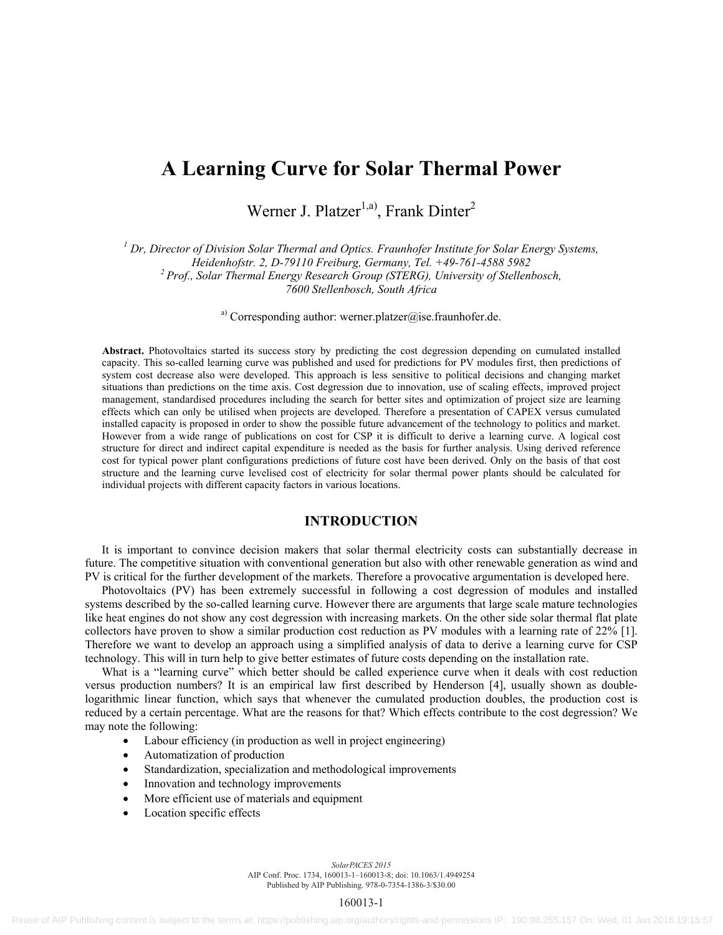# **A Learning Curve for Solar Thermal Power**

Werner J. Platzer<sup>1,a)</sup>, Frank Dinter<sup>2</sup>

<sup>1</sup> Dr, Director of Division Solar Thermal and Optics. Fraunhofer Institute for Solar Energy Systems, *Heidenhofstr. 2, D-79110 Freiburg, Germany, Tel. +49-761-4588 5982 2 Prof., Solar Thermal Energy Research Group (STERG), University of Stellenbosch, 7600 Stellenbosch, South Africa* 

<sup>a)</sup> Corresponding author: werner.platzer@ise.fraunhofer.de.

**Abstract.** Photovoltaics started its success story by predicting the cost degression depending on cumulated installed capacity. This so-called learning curve was published and used for predictions for PV modules first, then predictions of system cost decrease also were developed. This approach is less sensitive to political decisions and changing market situations than predictions on the time axis. Cost degression due to innovation, use of scaling effects, improved project management, standardised procedures including the search for better sites and optimization of project size are learning effects which can only be utilised when projects are developed. Therefore a presentation of CAPEX versus cumulated installed capacity is proposed in order to show the possible future advancement of the technology to politics and market. However from a wide range of publications on cost for CSP it is difficult to derive a learning curve. A logical cost structure for direct and indirect capital expenditure is needed as the basis for further analysis. Using derived reference cost for typical power plant configurations predictions of future cost have been derived. Only on the basis of that cost structure and the learning curve levelised cost of electricity for solar thermal power plants should be calculated for individual projects with different capacity factors in various locations.

### **INTRODUCTION**

It is important to convince decision makers that solar thermal electricity costs can substantially decrease in future. The competitive situation with conventional generation but also with other renewable generation as wind and PV is critical for the further development of the markets. Therefore a provocative argumentation is developed here.

Photovoltaics (PV) has been extremely successful in following a cost degression of modules and installed systems described by the so-called learning curve. However there are arguments that large scale mature technologies like heat engines do not show any cost degression with increasing markets. On the other side solar thermal flat plate collectors have proven to show a similar production cost reduction as PV modules with a learning rate of 22% [1]. Therefore we want to develop an approach using a simplified analysis of data to derive a learning curve for CSP technology. This will in turn help to give better estimates of future costs depending on the installation rate.

What is a "learning curve" which better should be called experience curve when it deals with cost reduction versus production numbers? It is an empirical law first described by Henderson [4], usually shown as doublelogarithmic linear function, which says that whenever the cumulated production doubles, the production cost is reduced by a certain percentage. What are the reasons for that? Which effects contribute to the cost degression? We may note the following:

- Labour efficiency (in production as well in project engineering)
- Automatization of production
- Standardization, specialization and methodological improvements
- Innovation and technology improvements
- More efficient use of materials and equipment
- Location specific effects

*SolarPACES 2015* AIP Conf. Proc. 1734, 160013-1–160013-8; doi: 10.1063/1.4949254 Published by AIP Publishing. 978-0-7354-1386-3/\$30.00

#### 160013-1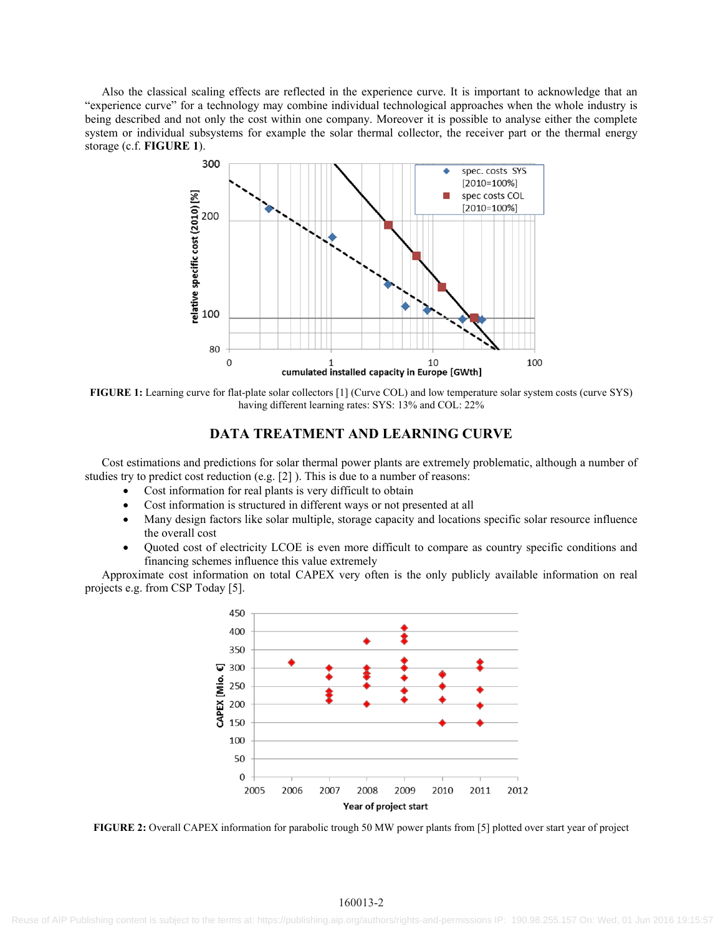Also the classical scaling effects are reflected in the experience curve. It is important to acknowledge that an "experience curve" for a technology may combine individual technological approaches when the whole industry is being described and not only the cost within one company. Moreover it is possible to analyse either the complete system or individual subsystems for example the solar thermal collector, the receiver part or the thermal energy storage (c.f. **FIGURE 1**).



**FIGURE 1:** Learning curve for flat-plate solar collectors [1] (Curve COL) and low temperature solar system costs (curve SYS) having different learning rates: SYS: 13% and COL: 22%

#### **DATA TREATMENT AND LEARNING CURVE**

Cost estimations and predictions for solar thermal power plants are extremely problematic, although a number of studies try to predict cost reduction (e.g. [2] ). This is due to a number of reasons:

- Cost information for real plants is very difficult to obtain
- Cost information is structured in different ways or not presented at all
- Many design factors like solar multiple, storage capacity and locations specific solar resource influence the overall cost
- Quoted cost of electricity LCOE is even more difficult to compare as country specific conditions and financing schemes influence this value extremely

Approximate cost information on total CAPEX very often is the only publicly available information on real projects e.g. from CSP Today [5].



**FIGURE 2:** Overall CAPEX information for parabolic trough 50 MW power plants from [5] plotted over start year of project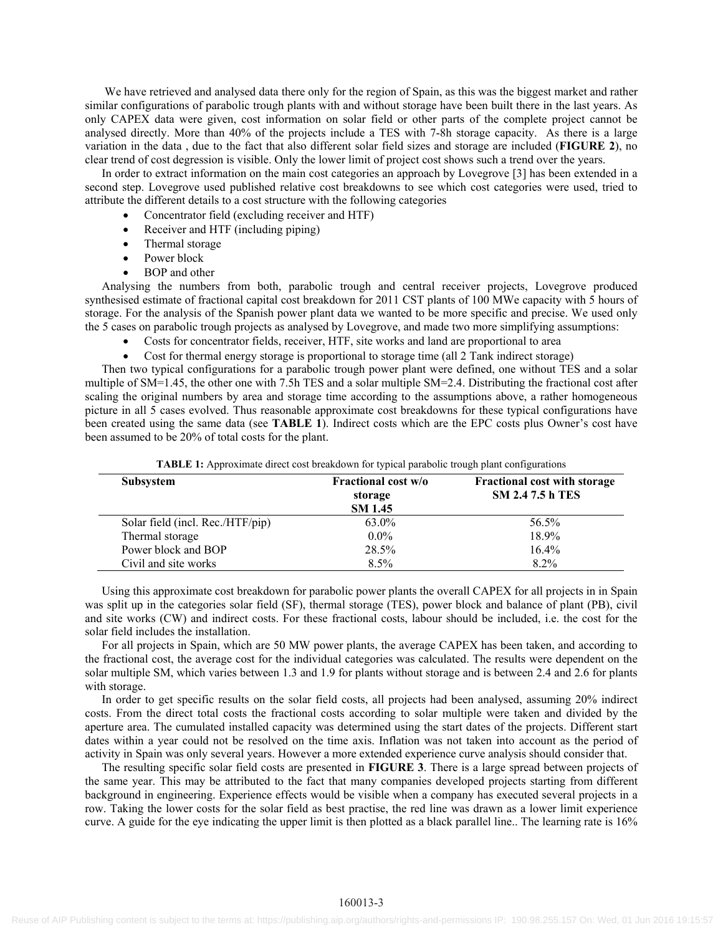We have retrieved and analysed data there only for the region of Spain, as this was the biggest market and rather similar configurations of parabolic trough plants with and without storage have been built there in the last years. As only CAPEX data were given, cost information on solar field or other parts of the complete project cannot be analysed directly. More than 40% of the projects include a TES with 7-8h storage capacity. As there is a large variation in the data , due to the fact that also different solar field sizes and storage are included (**FIGURE 2**), no clear trend of cost degression is visible. Only the lower limit of project cost shows such a trend over the years.

In order to extract information on the main cost categories an approach by Lovegrove [3] has been extended in a second step. Lovegrove used published relative cost breakdowns to see which cost categories were used, tried to attribute the different details to a cost structure with the following categories

- Concentrator field (excluding receiver and HTF)
- Receiver and HTF (including piping)
- Thermal storage
- Power block
- BOP and other

Analysing the numbers from both, parabolic trough and central receiver projects, Lovegrove produced synthesised estimate of fractional capital cost breakdown for 2011 CST plants of 100 MWe capacity with 5 hours of storage. For the analysis of the Spanish power plant data we wanted to be more specific and precise. We used only the 5 cases on parabolic trough projects as analysed by Lovegrove, and made two more simplifying assumptions:

- Costs for concentrator fields, receiver, HTF, site works and land are proportional to area
- Cost for thermal energy storage is proportional to storage time (all 2 Tank indirect storage)

Then two typical configurations for a parabolic trough power plant were defined, one without TES and a solar multiple of SM=1.45, the other one with 7.5h TES and a solar multiple SM=2.4. Distributing the fractional cost after scaling the original numbers by area and storage time according to the assumptions above, a rather homogeneous picture in all 5 cases evolved. Thus reasonable approximate cost breakdowns for these typical configurations have been created using the same data (see **TABLE 1**). Indirect costs which are the EPC costs plus Owner's cost have been assumed to be 20% of total costs for the plant.

| <b>Subsystem</b>                 | <b>Fractional cost w/o</b><br>storage<br><b>SM 1.45</b> | <b>Fractional cost with storage</b><br><b>SM 2.47.5 h TES</b> |
|----------------------------------|---------------------------------------------------------|---------------------------------------------------------------|
| Solar field (incl. Rec./HTF/pip) | 63.0%                                                   | 56.5%                                                         |
| Thermal storage                  | $0.0\%$                                                 | 18.9%                                                         |
| Power block and BOP              | 28.5%                                                   | 16.4%                                                         |
| Civil and site works             | 8.5%                                                    | 8.2%                                                          |

**TABLE 1:** Approximate direct cost breakdown for typical parabolic trough plant configurations

Using this approximate cost breakdown for parabolic power plants the overall CAPEX for all projects in in Spain was split up in the categories solar field (SF), thermal storage (TES), power block and balance of plant (PB), civil and site works (CW) and indirect costs. For these fractional costs, labour should be included, i.e. the cost for the solar field includes the installation.

For all projects in Spain, which are 50 MW power plants, the average CAPEX has been taken, and according to the fractional cost, the average cost for the individual categories was calculated. The results were dependent on the solar multiple SM, which varies between 1.3 and 1.9 for plants without storage and is between 2.4 and 2.6 for plants with storage.

In order to get specific results on the solar field costs, all projects had been analysed, assuming 20% indirect costs. From the direct total costs the fractional costs according to solar multiple were taken and divided by the aperture area. The cumulated installed capacity was determined using the start dates of the projects. Different start dates within a year could not be resolved on the time axis. Inflation was not taken into account as the period of activity in Spain was only several years. However a more extended experience curve analysis should consider that.

The resulting specific solar field costs are presented in **FIGURE 3**. There is a large spread between projects of the same year. This may be attributed to the fact that many companies developed projects starting from different background in engineering. Experience effects would be visible when a company has executed several projects in a row. Taking the lower costs for the solar field as best practise, the red line was drawn as a lower limit experience curve. A guide for the eye indicating the upper limit is then plotted as a black parallel line.. The learning rate is 16%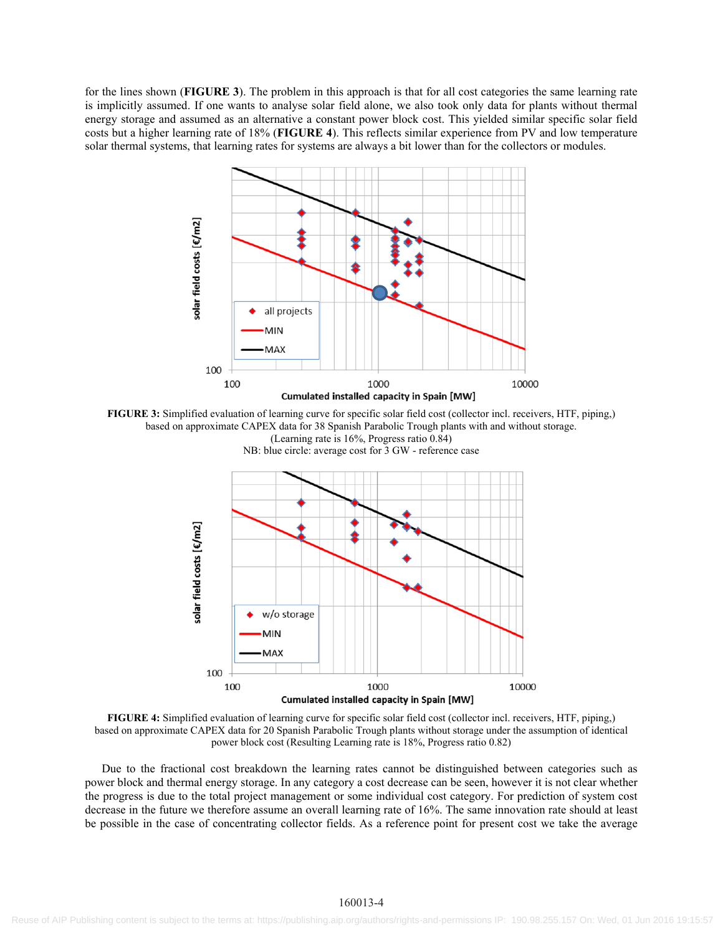for the lines shown (**FIGURE 3**). The problem in this approach is that for all cost categories the same learning rate is implicitly assumed. If one wants to analyse solar field alone, we also took only data for plants without thermal energy storage and assumed as an alternative a constant power block cost. This yielded similar specific solar field costs but a higher learning rate of 18% (**FIGURE 4**). This reflects similar experience from PV and low temperature solar thermal systems, that learning rates for systems are always a bit lower than for the collectors or modules.



**FIGURE 3:** Simplified evaluation of learning curve for specific solar field cost (collector incl. receivers, HTF, piping,) based on approximate CAPEX data for 38 Spanish Parabolic Trough plants with and without storage. (Learning rate is 16%, Progress ratio 0.84)



NB: blue circle: average cost for 3 GW - reference case

**FIGURE 4:** Simplified evaluation of learning curve for specific solar field cost (collector incl. receivers, HTF, piping,) based on approximate CAPEX data for 20 Spanish Parabolic Trough plants without storage under the assumption of identical power block cost (Resulting Learning rate is 18%, Progress ratio 0.82)

Due to the fractional cost breakdown the learning rates cannot be distinguished between categories such as power block and thermal energy storage. In any category a cost decrease can be seen, however it is not clear whether the progress is due to the total project management or some individual cost category. For prediction of system cost decrease in the future we therefore assume an overall learning rate of 16%. The same innovation rate should at least be possible in the case of concentrating collector fields. As a reference point for present cost we take the average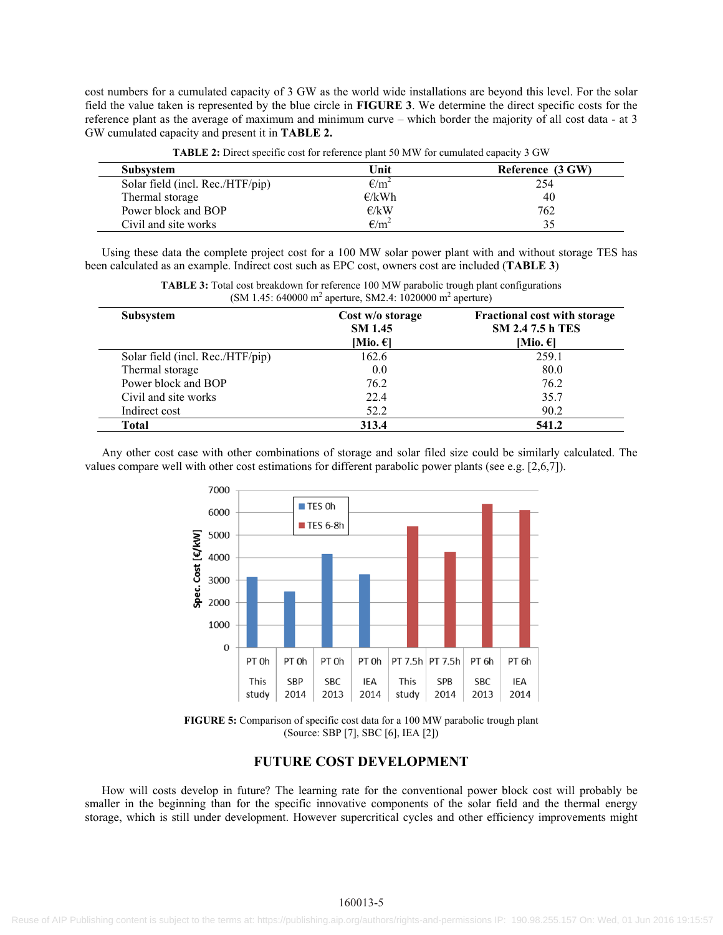cost numbers for a cumulated capacity of 3 GW as the world wide installations are beyond this level. For the solar field the value taken is represented by the blue circle in **FIGURE 3**. We determine the direct specific costs for the reference plant as the average of maximum and minimum curve – which border the majority of all cost data - at 3 GW cumulated capacity and present it in **TABLE 2.**

| <b>Subsystem</b>                 | Unit           | Reference (3 GW) |
|----------------------------------|----------------|------------------|
| Solar field (incl. Rec./HTF/pip) | $\epsilon/m^2$ | 254              |
| Thermal storage                  | E/kWh          | 40               |
| Power block and BOP              | E/kW           | 762              |
| Civil and site works             | $E/m^2$        |                  |

**TABLE 2:** Direct specific cost for reference plant 50 MW for cumulated capacity 3 GW

Using these data the complete project cost for a 100 MW solar power plant with and without storage TES has been calculated as an example. Indirect cost such as EPC cost, owners cost are included (**TABLE 3**)

| <b>Subsystem</b>                 | Cost w/o storage<br><b>SM 1.45</b><br>[Mio. $\epsilon$ ] | <b>Fractional cost with storage</b><br><b>SM 2.47.5 h TES</b><br>[Mio. $\epsilon$ ] |
|----------------------------------|----------------------------------------------------------|-------------------------------------------------------------------------------------|
| Solar field (incl. Rec./HTF/pip) | 162.6                                                    | 259.1                                                                               |
| Thermal storage                  | 0.0                                                      | 80.0                                                                                |
| Power block and BOP              | 76.2                                                     | 76.2                                                                                |
| Civil and site works             | 22.4                                                     | 35.7                                                                                |
| Indirect cost                    | 52.2                                                     | 90.2                                                                                |
| Total                            | 313.4                                                    | 541.2                                                                               |

**TABLE 3:** Total cost breakdown for reference 100 MW parabolic trough plant configurations  $(SM 1.45: 640000 \text{ m}^2 \text{ aperture}, SM2.4: 1020000 \text{ m}^2 \text{ aperture})$ 

Any other cost case with other combinations of storage and solar filed size could be similarly calculated. The values compare well with other cost estimations for different parabolic power plants (see e.g. [2,6,7]).



**FIGURE 5:** Comparison of specific cost data for a 100 MW parabolic trough plant (Source: SBP [7], SBC [6], IEA [2])

#### **FUTURE COST DEVELOPMENT**

How will costs develop in future? The learning rate for the conventional power block cost will probably be smaller in the beginning than for the specific innovative components of the solar field and the thermal energy storage, which is still under development. However supercritical cycles and other efficiency improvements might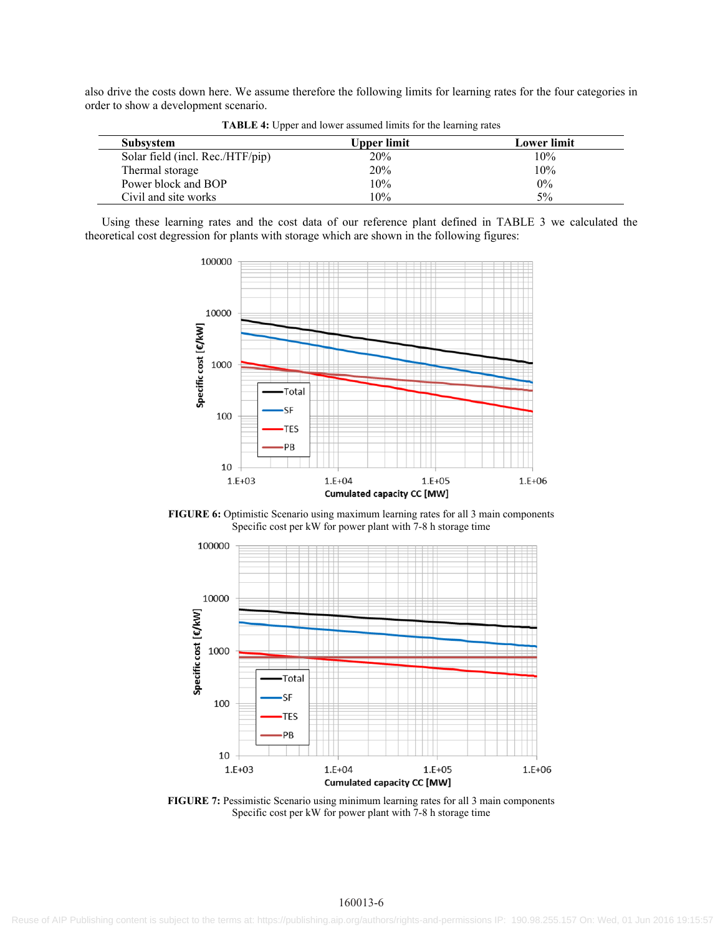also drive the costs down here. We assume therefore the following limits for learning rates for the four categories in order to show a development scenario.

| <b>Subsystem</b>                 | Upper limit | <b>Lower limit</b> |
|----------------------------------|-------------|--------------------|
| Solar field (incl. Rec./HTF/pip) | 20%         | 10%                |
| Thermal storage                  | 20%         | 10%                |
| Power block and BOP              | 10%         | $0\%$              |
| Civil and site works             | 10%         | 5%                 |

**TABLE 4:** Upper and lower assumed limits for the learning rates

Using these learning rates and the cost data of our reference plant defined in TABLE 3 we calculated the theoretical cost degression for plants with storage which are shown in the following figures:



**FIGURE 6:** Optimistic Scenario using maximum learning rates for all 3 main components Specific cost per kW for power plant with 7-8 h storage time



**FIGURE 7:** Pessimistic Scenario using minimum learning rates for all 3 main components Specific cost per kW for power plant with 7-8 h storage time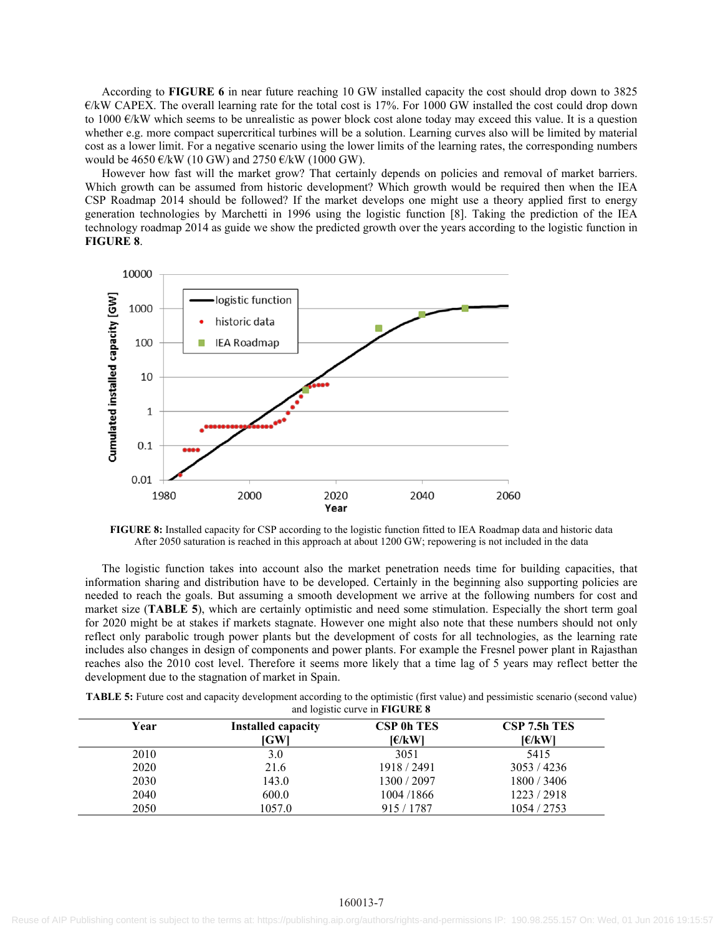According to **FIGURE 6** in near future reaching 10 GW installed capacity the cost should drop down to 3825  $E/KW$  CAPEX. The overall learning rate for the total cost is 17%. For 1000 GW installed the cost could drop down to 1000  $\epsilon$ /kW which seems to be unrealistic as power block cost alone today may exceed this value. It is a question whether e.g. more compact supercritical turbines will be a solution. Learning curves also will be limited by material cost as a lower limit. For a negative scenario using the lower limits of the learning rates, the corresponding numbers would be 4650  $\mathcal{C}/kW$  (10 GW) and 2750  $\mathcal{C}/kW$  (1000 GW).

However how fast will the market grow? That certainly depends on policies and removal of market barriers. Which growth can be assumed from historic development? Which growth would be required then when the IEA CSP Roadmap 2014 should be followed? If the market develops one might use a theory applied first to energy generation technologies by Marchetti in 1996 using the logistic function [8]. Taking the prediction of the IEA technology roadmap 2014 as guide we show the predicted growth over the years according to the logistic function in **FIGURE 8**.



**FIGURE 8:** Installed capacity for CSP according to the logistic function fitted to IEA Roadmap data and historic data After 2050 saturation is reached in this approach at about 1200 GW; repowering is not included in the data

The logistic function takes into account also the market penetration needs time for building capacities, that information sharing and distribution have to be developed. Certainly in the beginning also supporting policies are needed to reach the goals. But assuming a smooth development we arrive at the following numbers for cost and market size (**TABLE 5**), which are certainly optimistic and need some stimulation. Especially the short term goal for 2020 might be at stakes if markets stagnate. However one might also note that these numbers should not only reflect only parabolic trough power plants but the development of costs for all technologies, as the learning rate includes also changes in design of components and power plants. For example the Fresnel power plant in Rajasthan reaches also the 2010 cost level. Therefore it seems more likely that a time lag of 5 years may reflect better the development due to the stagnation of market in Spain.

| <b>TABLE 5:</b> Future cost and capacity development according to the optimistic (first value) and pessimistic scenario (second value) |  |
|----------------------------------------------------------------------------------------------------------------------------------------|--|
| and logistic curve in <b>FIGURE 8</b>                                                                                                  |  |

| Year | <b>Installed capacity</b><br>[GW] | <b>CSP 0h TES</b><br>I€/kWl | CSP 7.5h TES<br>J€/kWl |
|------|-----------------------------------|-----------------------------|------------------------|
| 2010 | 3.0                               | 3051                        | 5415                   |
| 2020 | 21.6                              | 1918 / 2491                 | 3053 / 4236            |
| 2030 | 143.0                             | 1300/2097                   | 1800/3406              |
| 2040 | 600.0                             | 1004/1866                   | 1223/2918              |
| 2050 | 1057.0                            | 915 / 1787                  | 1054 / 2753            |